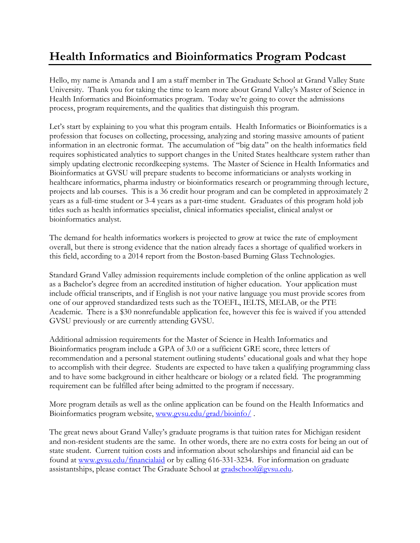## **Health Informatics and Bioinformatics Program Podcast**

Hello, my name is Amanda and I am a staff member in The Graduate School at Grand Valley State University. Thank you for taking the time to learn more about Grand Valley's Master of Science in Health Informatics and Bioinformatics program. Today we're going to cover the admissions process, program requirements, and the qualities that distinguish this program.

Let's start by explaining to you what this program entails. Health Informatics or Bioinformatics is a profession that focuses on collecting, processing, analyzing and storing massive amounts of patient information in an electronic format. The accumulation of "big data" on the health informatics field requires sophisticated analytics to support changes in the United States healthcare system rather than simply updating electronic recordkeeping systems. The Master of Science in Health Informatics and Bioinformatics at GVSU will prepare students to become informaticians or analysts working in healthcare informatics, pharma industry or bioinformatics research or programming through lecture, projects and lab courses. This is a 36 credit hour program and can be completed in approximately 2 years as a full-time student or 3-4 years as a part-time student. Graduates of this program hold job titles such as health informatics specialist, clinical informatics specialist, clinical analyst or bioinformatics analyst.

The demand for health informatics workers is projected to grow at twice the rate of employment overall, but there is strong evidence that the nation already faces a shortage of qualified workers in this field, according to a 2014 report from the Boston-based Burning Glass Technologies.

Standard Grand Valley admission requirements include completion of the online application as well as a Bachelor's degree from an accredited institution of higher education. Your application must include official transcripts, and if English is not your native language you must provide scores from one of our approved standardized tests such as the TOEFL, IELTS, MELAB, or the PTE Academic. There is a \$30 nonrefundable application fee, however this fee is waived if you attended GVSU previously or are currently attending GVSU.

Additional admission requirements for the Master of Science in Health Informatics and Bioinformatics program include a GPA of 3.0 or a sufficient GRE score, three letters of recommendation and a personal statement outlining students' educational goals and what they hope to accomplish with their degree. Students are expected to have taken a qualifying programming class and to have some background in either healthcare or biology or a related field. The programming requirement can be fulfilled after being admitted to the program if necessary.

More program details as well as the online application can be found on the Health Informatics and Bioinformatics program website, [www.gvsu.edu/grad/bioinfo/](http://www.gvsu.edu/grad/bioinfo/) .

The great news about Grand Valley's graduate programs is that tuition rates for Michigan resident and non-resident students are the same. In other words, there are no extra costs for being an out of state student. Current tuition costs and information about scholarships and financial aid can be found at [www.gvsu.edu/financialaid](http://www.gvsu.edu/financialaid) or by calling 616-331-3234. For information on graduate assistantships, please contact The Graduate School at [gradschool@gvsu.edu.](mailto:gradschool@gvsu.edu)